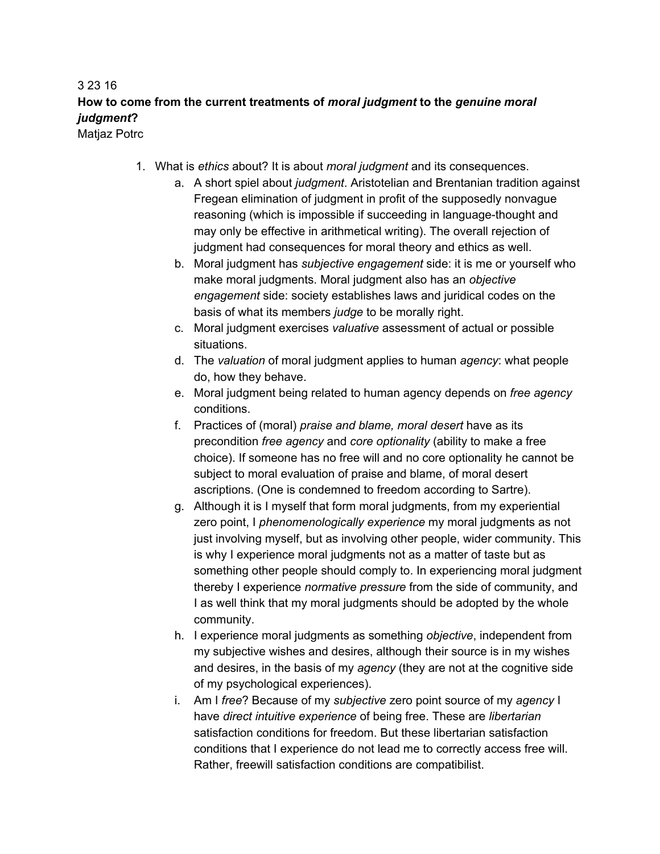## 3 23 16 **How to come from the current treatments of** *moral judgment***to the** *genuine moral judgment***?**

Matjaz Potrc

- 1. What is *ethics* about? It is about *moral judgment* and its consequences.
	- a. A short spiel about *judgment*. Aristotelian and Brentanian tradition against Fregean elimination of judgment in profit of the supposedly nonvague reasoning (which is impossible if succeeding in language-thought and may only be effective in arithmetical writing). The overall rejection of judgment had consequences for moral theory and ethics as well.
	- b. Moral judgment has *subjective engagement* side: it is me or yourself who make moral judgments. Moral judgment also has an *objective engagement* side: society establishes laws and juridical codes on the basis of what its members *judge* to be morally right.
	- c. Moral judgment exercises *valuative* assessment of actual or possible situations.
	- d. The *valuation* of moral judgment applies to human *agency*: what people do, how they behave.
	- e. Moral judgment being related to human agency depends on *free agency* conditions.
	- f. Practices of (moral) *praise and blame, moral desert* have as its precondition *free agency* and *core optionality* (ability to make a free choice). If someone has no free will and no core optionality he cannot be subject to moral evaluation of praise and blame, of moral desert ascriptions. (One is condemned to freedom according to Sartre).
	- g. Although it is I myself that form moral judgments, from my experiential zero point, I *phenomenologically experience* my moral judgments as not just involving myself, but as involving other people, wider community. This is why I experience moral judgments not as a matter of taste but as something other people should comply to. In experiencing moral judgment thereby I experience *normative pressure* from the side of community, and I as well think that my moral judgments should be adopted by the whole community.
	- h. I experience moral judgments as something *objective*, independent from my subjective wishes and desires, although their source is in my wishes and desires, in the basis of my *agency* (they are not at the cognitive side of my psychological experiences).
	- i. Am I *free*? Because of my *subjective* zero point source of my *agency* I have *direct intuitive experience* of being free. These are *libertarian* satisfaction conditions for freedom. But these libertarian satisfaction conditions that I experience do not lead me to correctly access free will. Rather, freewill satisfaction conditions are compatibilist.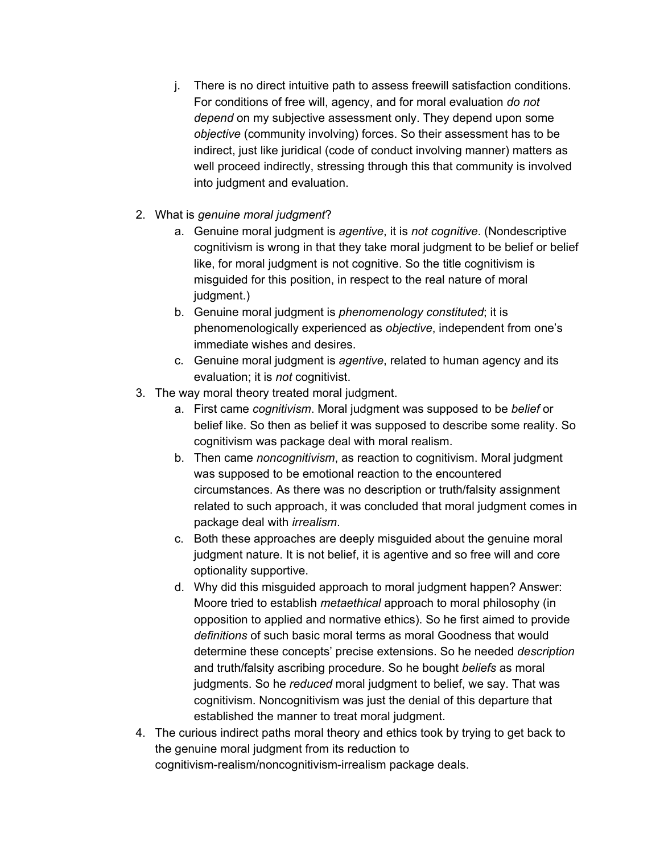- j. There is no direct intuitive path to assess freewill satisfaction conditions. For conditions of free will, agency, and for moral evaluation *do not depend* on my subjective assessment only. They depend upon some *objective* (community involving) forces. So their assessment has to be indirect, just like juridical (code of conduct involving manner) matters as well proceed indirectly, stressing through this that community is involved into judgment and evaluation.
- 2. What is *genuine moral judgment*?
	- a. Genuine moral judgment is *agentive*, it is *not cognitive*. (Nondescriptive cognitivism is wrong in that they take moral judgment to be belief or belief like, for moral judgment is not cognitive. So the title cognitivism is misguided for this position, in respect to the real nature of moral judgment.)
	- b. Genuine moral judgment is *phenomenology constituted*; it is phenomenologically experienced as *objective*, independent from one's immediate wishes and desires.
	- c. Genuine moral judgment is *agentive*, related to human agency and its evaluation; it is *not* cognitivist.
- 3. The way moral theory treated moral judgment.
	- a. First came *cognitivism*. Moral judgment was supposed to be *belief* or belief like. So then as belief it was supposed to describe some reality. So cognitivism was package deal with moral realism.
	- b. Then came *noncognitivism*, as reaction to cognitivism. Moral judgment was supposed to be emotional reaction to the encountered circumstances. As there was no description or truth/falsity assignment related to such approach, it was concluded that moral judgment comes in package deal with *irrealism*.
	- c. Both these approaches are deeply misguided about the genuine moral judgment nature. It is not belief, it is agentive and so free will and core optionality supportive.
	- d. Why did this misguided approach to moral judgment happen? Answer: Moore tried to establish *metaethical* approach to moral philosophy (in opposition to applied and normative ethics). So he first aimed to provide *definitions* of such basic moral terms as moral Goodness that would determine these concepts' precise extensions. So he needed *description* and truth/falsity ascribing procedure. So he bought *beliefs* as moral judgments. So he *reduced* moral judgment to belief, we say. That was cognitivism. Noncognitivism was just the denial of this departure that established the manner to treat moral judgment.
- 4. The curious indirect paths moral theory and ethics took by trying to get back to the genuine moral judgment from its reduction to cognitivism-realism/noncognitivism-irrealism package deals.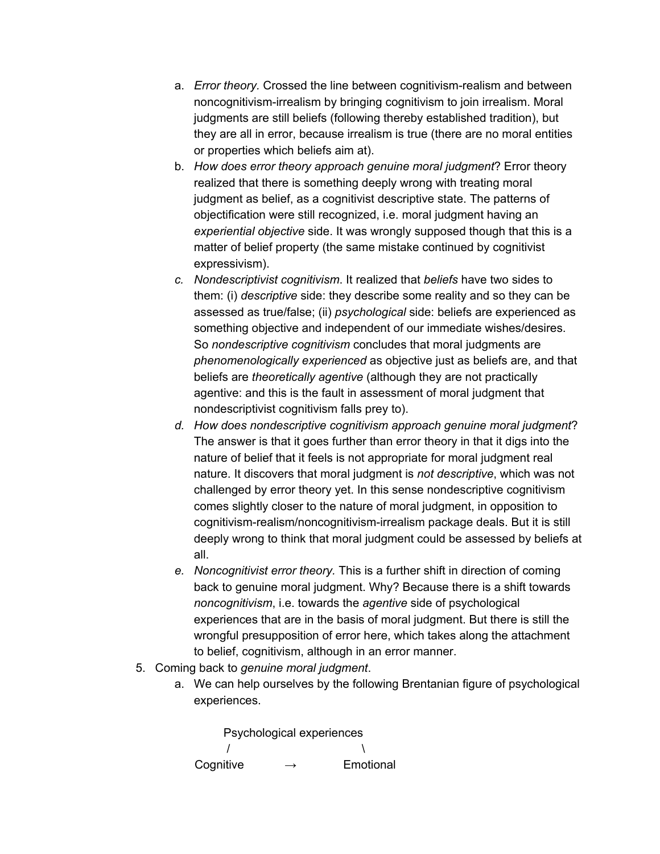- a. *Error theory*. Crossed the line between cognitivism-realism and between noncognitivism-irrealism by bringing cognitivism to join irrealism. Moral judgments are still beliefs (following thereby established tradition), but they are all in error, because irrealism is true (there are no moral entities or properties which beliefs aim at).
- b. *How does error theory approach genuine moral judgment*? Error theory realized that there is something deeply wrong with treating moral judgment as belief, as a cognitivist descriptive state. The patterns of objectification were still recognized, i.e. moral judgment having an *experiential objective* side. It was wrongly supposed though that this is a matter of belief property (the same mistake continued by cognitivist expressivism).
- *c. Nondescriptivist cognitivism*. It realized that *beliefs* have two sides to them: (i) *descriptive* side: they describe some reality and so they can be assessed as true/false; (ii) *psychological* side: beliefs are experienced as something objective and independent of our immediate wishes/desires. So *nondescriptive cognitivism* concludes that moral judgments are *phenomenologically experienced* as objective just as beliefs are, and that beliefs are *theoretically agentive* (although they are not practically agentive: and this is the fault in assessment of moral judgment that nondescriptivist cognitivism falls prey to).
- *d. How does nondescriptive cognitivism approach genuine moral judgment*? The answer is that it goes further than error theory in that it digs into the nature of belief that it feels is not appropriate for moral judgment real nature. It discovers that moral judgment is *not descriptive*, which was not challenged by error theory yet. In this sense nondescriptive cognitivism comes slightly closer to the nature of moral judgment, in opposition to cognitivism-realism/noncognitivism-irrealism package deals. But it is still deeply wrong to think that moral judgment could be assessed by beliefs at all.
- *e. Noncognitivist error theory.* This is a further shift in direction of coming back to genuine moral judgment. Why? Because there is a shift towards *noncognitivism*, i.e. towards the *agentive* side of psychological experiences that are in the basis of moral judgment. But there is still the wrongful presupposition of error here, which takes along the attachment to belief, cognitivism, although in an error manner.
- 5. Coming back to *genuine moral judgment*.
	- a. We can help ourselves by the following Brentanian figure of psychological experiences.

Psychological experiences  $\sqrt{ }$ Cognitive  $\rightarrow$  Emotional